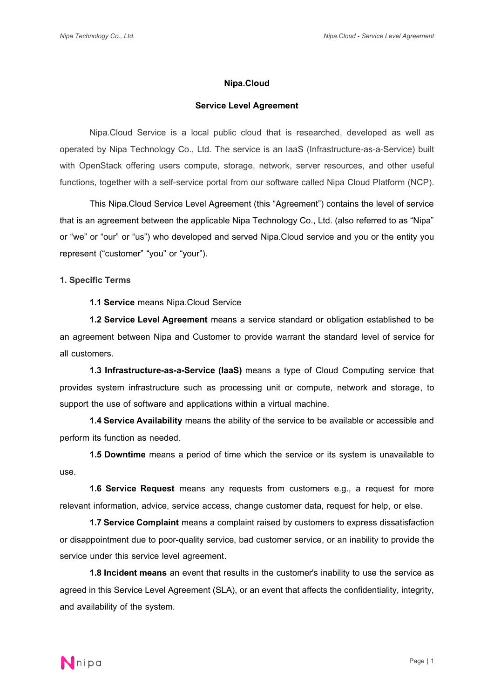#### **Nipa.Cloud**

# **Service Level Agreement**

Nipa.Cloud Service is a local public cloud that is researched, developed as well as operated by Nipa Technology Co., Ltd. The service is an IaaS (Infrastructure-as-a-Service) built with OpenStack offering users compute, storage, network, server resources, and other useful functions, together with a self-service portal from our software called Nipa Cloud Platform (NCP).

This Nipa.Cloud Service Level Agreement (this "Agreement") contains the level of service that is an agreement between the applicable Nipa Technology Co., Ltd. (also referred to as "Nipa" or "we" or "our" or "us") who developed and served Nipa.Cloud service and you or the entity you represent ("customer" "you" or "your").

**1. Specific Terms** 

**1.1 Service** means Nipa.Cloud Service

**1.2 Service Level Agreement** means a service standard or obligation established to be an agreement between Nipa and Customer to provide warrant the standard level of service for all customers.

**1.3 Infrastructure-as-a-Service (IaaS)** means a type of Cloud Computing service that provides system infrastructure such as processing unit or compute, network and storage, to support the use of software and applications within a virtual machine.

**1.4 Service Availability** means the ability of the service to be available or accessible and perform its function as needed.

**1.5 Downtime** means a period of time which the service or its system is unavailable to use.

**1.6 Service Request** means any requests from customers e.g., a request for more relevant information, advice, service access, change customer data, request for help, or else.

**1.7 Service Complaint** means a complaint raised by customers to express dissatisfaction or disappointment due to poor-quality service, bad customer service, or an inability to provide the service under this service level agreement.

**1.8 Incident means** an event that results in the customer's inability to use the service as agreed in this Service Level Agreement (SLA), or an event that affects the confidentiality, integrity, and availability of the system.

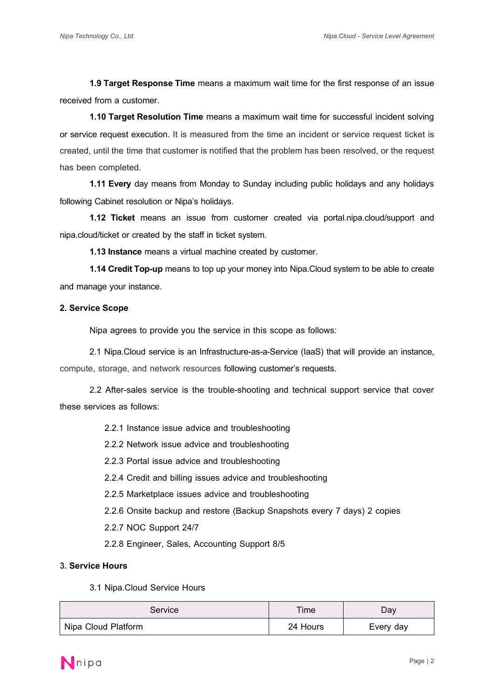**1.9 Target Response Time** means a maximum wait time for the first response of an issue received from a customer.

**1.10 Target Resolution Time** means a maximum wait time for successful incident solving or service request execution. It is measured from the time an incident or service request ticket is created, until the time that customer is notified that the problem has been resolved, or the request has been completed.

**1.11 Every** day means from Monday to Sunday including public holidays and any holidays following Cabinet resolution or Nipa's holidays.

**1.12 Ticket** means an issue from customer created via portal.nipa.cloud/support and nipa.cloud/ticket or created by the staff in ticket system.

**1.13 Instance** means a virtual machine created by customer.

**1.14 Credit Top-up** means to top up your money into Nipa.Cloud system to be able to create and manage your instance.

# **2. Service Scope**

Nipa agrees to provide you the service in this scope as follows:

2.1 Nipa.Cloud service is an Infrastructure-as-a-Service (IaaS) that will provide an instance, compute, storage, and network resources following customer's requests.

2.2 After-sales service is the trouble-shooting and technical support service that cover these services as follows:

2.2.1 Instance issue advice and troubleshooting

2.2.2 Network issue advice and troubleshooting

2.2.3 Portal issue advice and troubleshooting

2.2.4 Credit and billing issues advice and troubleshooting

2.2.5 Marketplace issues advice and troubleshooting

2.2.6 Onsite backup and restore (Backup Snapshots every 7 days) 2 copies

2.2.7 NOC Support 24/7

2.2.8 Engineer, Sales, Accounting Support 8/5

#### **3. Service Hours**

3.1 Nipa.Cloud Service Hours

| Service             | Time     | Day       |
|---------------------|----------|-----------|
| Nipa Cloud Platform | 24 Hours | Every day |

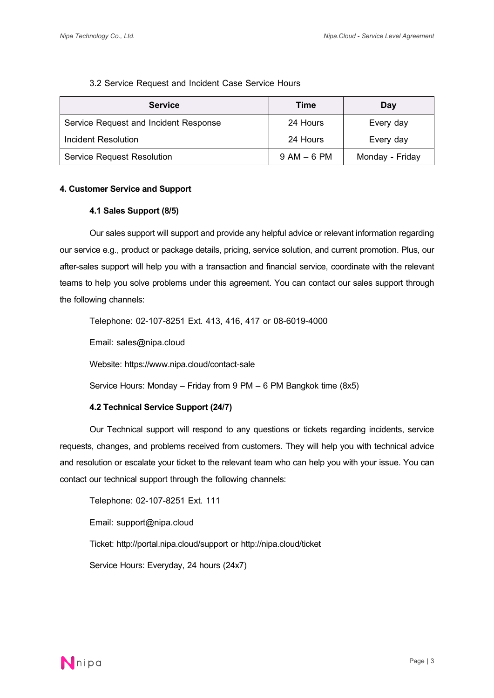# 3.2 Service Request and Incident Case Service Hours

| <b>Service</b>                        | Time            | Day             |
|---------------------------------------|-----------------|-----------------|
| Service Request and Incident Response | 24 Hours        | Every day       |
| Incident Resolution                   | 24 Hours        | Every day       |
| <b>Service Request Resolution</b>     | $9$ AM $-$ 6 PM | Monday - Friday |

# **4. Customer Service and Support**

# **4.1 Sales Support (8/5)**

Our sales support will support and provide any helpful advice or relevant information regarding our service e.g., product or package details, pricing, service solution, and current promotion. Plus, our after-sales support will help you with a transaction and financial service, coordinate with the relevant teams to help you solve problems under this agreement. You can contact our sales support through the following channels:

Telephone: 02-107-8251 Ext. 413, 416, 417 or 08-6019-4000

Email: sales@nipa.cloud

Website: https://www.nipa.cloud/contact-sale

Service Hours: Monday – Friday from 9 PM – 6 PM Bangkok time (8x5)

# **4.2 Technical Service Support (24/7)**

Our Technical support will respond to any questions or tickets regarding incidents, service requests, changes, and problems received from customers. They will help you with technical advice and resolution or escalate your ticket to the relevant team who can help you with your issue. You can contact our technical support through the following channels:

Telephone: 02-107-8251 Ext. 111

Email: support@nipa.cloud

Ticket: http://portal.nipa.cloud/support or http://nipa.cloud/ticket

Service Hours: Everyday, 24 hours (24x7)

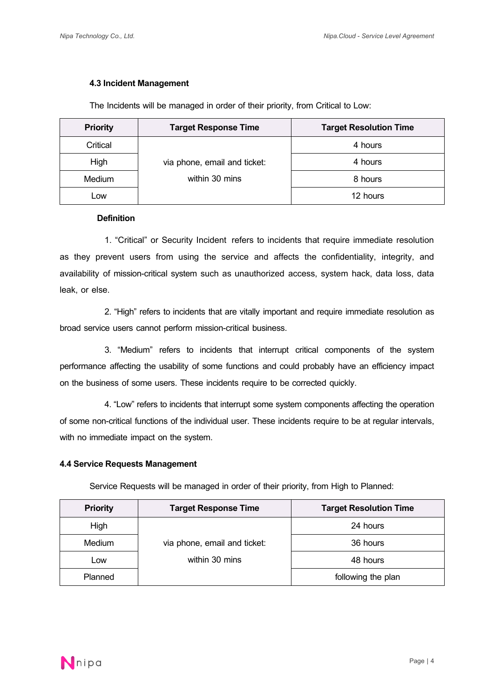# **4.3Incident Management**

The Incidents will be managed in order of their priority, from Critical to Low:

| <b>Priority</b> | <b>Target Response Time</b>  | <b>Target Resolution Time</b> |
|-----------------|------------------------------|-------------------------------|
| Critical        |                              | 4 hours                       |
| High            | via phone, email and ticket: | 4 hours                       |
| Medium          | within 30 mins               | 8 hours                       |
| Low             |                              | 12 hours                      |

#### **Definition**

1. "Critical" or Security Incident refers to incidents that require immediate resolution as they prevent users from using the service and affects the confidentiality, integrity, and availability of mission-critical system such as unauthorized access, system hack, data loss, data leak, or else.

2. "High" refers to incidents that are vitally important and require immediate resolution as broad service users cannot perform mission-critical business.

3. "Medium" refers to incidents that interrupt critical components of the system performance affecting the usability of some functions and could probably have an efficiency impact on the business of some users. These incidents require to be corrected quickly.

4. "Low" refers to incidents that interrupt some system components affecting the operation of some non-critical functions of the individual user. These incidents require to be at regular intervals, with no immediate impact on the system.

#### **4.4 Service Requests Management**

Service Requests will be managed in order of their priority, from High to Planned:

| <b>Priority</b> | <b>Target Response Time</b>  | <b>Target Resolution Time</b> |
|-----------------|------------------------------|-------------------------------|
| High            |                              | 24 hours                      |
| Medium          | via phone, email and ticket: | 36 hours                      |
| LOW             | within 30 mins               | 48 hours                      |
| Planned         |                              | following the plan            |

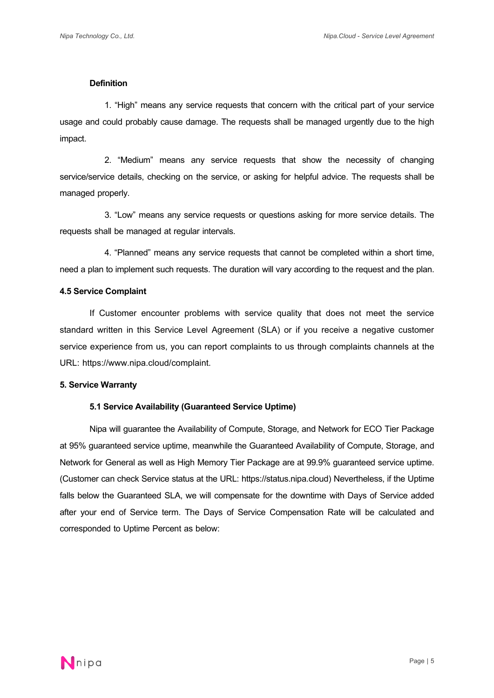#### **Definition**

1. "High" means any service requests that concern with the critical part of your service usage and could probably cause damage. The requests shall be managed urgently due to the high impact.

2. "Medium" means any service requests that show the necessity of changing service/service details, checking on the service, or asking for helpful advice. The requests shall be managed properly.

3. "Low" means any service requests or questions asking for more service details. The requests shall be managed at regular intervals.

4. "Planned" means any service requests that cannot be completed within a short time, need a plan to implement such requests. The duration will vary according to the request and the plan.

#### **4.5 Service Complaint**

If Customer encounter problems with service quality that does not meet the service standard written in this Service Level Agreement (SLA) or if you receive a negative customer service experience from us, you can report complaints to us through complaints channels at the URL: https://www.nipa.cloud/complaint.

# **5. Service Warranty**

#### **5.1 Service Availability(Guaranteed Service Uptime)**

Nipa will guarantee the Availability of Compute, Storage, and Network for ECO Tier Package at 95% guaranteed service uptime, meanwhile the Guaranteed Availability of Compute, Storage, and Network for General as well as High Memory Tier Package are at 99.9% guaranteed service uptime. (Customer can check Service status at the URL: https://status.nipa.cloud) Nevertheless, if the Uptime falls below the Guaranteed SLA, we will compensate for the downtime with Days of Service added after your end of Service term. The Days of Service Compensation Rate will be calculated and corresponded to Uptime Percent as below:

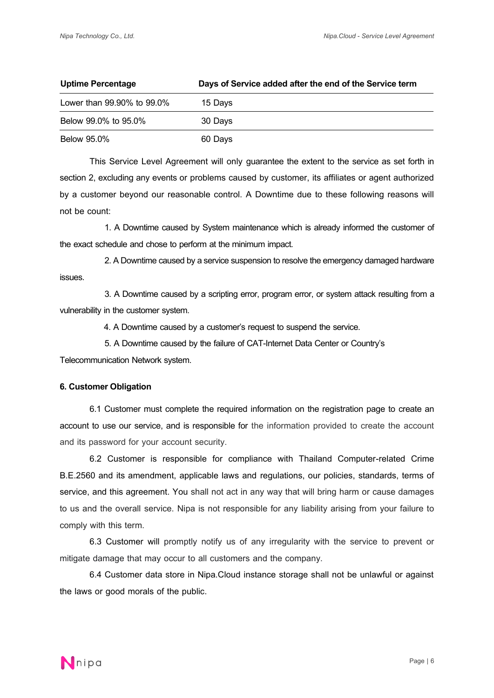| Uptime Percentage          | Days of Service added after the end of the Service term |
|----------------------------|---------------------------------------------------------|
| Lower than 99.90% to 99.0% | 15 Days                                                 |
| Below 99.0% to 95.0%       | 30 Days                                                 |
| <b>Below 95.0%</b>         | 60 Days                                                 |

This Service Level Agreement will only guarantee the extent to the service as set forth in section 2, excluding any events or problems caused by customer, its affiliates or agent authorized by a customer beyond our reasonable control. A Downtime due to these following reasons will not be count:

1. A Downtime caused by System maintenance which is already informed the customer of the exact schedule and chose to perform at the minimum impact.

2. A Downtime caused by a service suspension to resolve the emergency damaged hardware issues.

3. A Downtime caused by a scripting error, program error, or system attack resulting from a vulnerability in the customer system.

4. A Downtime caused by a customer's request to suspend the service.

5. A Downtime caused by the failure of CAT-Internet Data Center or Country's

Telecommunication Network system.

# **6. Customer Obligation**

6.1 Customer must complete the required information on the registration page to create an account to use our service, and is responsible for the information provided to create the account and its password for your account security.

6.2 Customer is responsible for compliance with Thailand Computer-related Crime B.E.2560 and its amendment, applicable laws and regulations, our policies, standards, terms of service, and this agreement. You shall not act in any way that will bring harm or cause damages to us and the overall service. Nipa is not responsible for any liability arising from your failure to comply with this term.

6.3 Customer will promptly notify us of any irregularity with the service to prevent or mitigate damage that may occur to all customers and the company.

6.4 Customer data store in Nipa.Cloud instance storage shall not be unlawful or against the laws or good morals of the public.

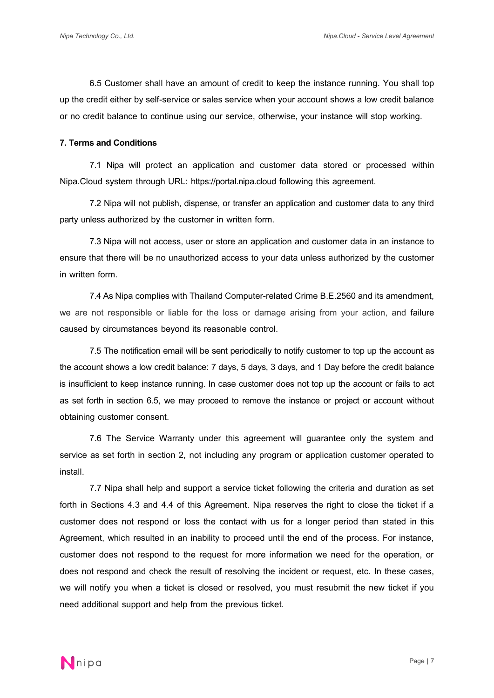6.5 Customer shall have an amount of credit to keep the instance running. You shall top up the credit either by self-service or sales service when your account shows a low credit balance or no credit balance to continue using our service, otherwise, your instance will stop working.

### **7. Terms and Conditions**

7.1 Nipa will protect an application and customer data stored or processed within Nipa.Cloud system through URL: https://portal.nipa.cloud following this agreement.

7.2 Nipa will not publish, dispense, or transfer an application and customer data to any third party unless authorized by the customer in written form.

7.3 Nipa will not access, user or store an application and customer data in an instance to ensure that there will be no unauthorized access to your data unless authorized by the customer in written form.

7.4 As Nipa complies with Thailand Computer-related Crime B.E.2560 and its amendment, we are not responsible or liable for the loss or damage arising from your action, and failure caused by circumstances beyond its reasonable control.

7.5 The notification email will be sent periodically to notify customer to top up the account as the account shows a low credit balance: 7 days, 5 days, 3 days, and 1 Day before the credit balance is insufficient to keep instance running. In case customer does not top up the account or fails to act as set forth in section 6.5, we may proceed to remove the instance or project or account without obtaining customer consent.

7.6 The Service Warranty under this agreement will guarantee only the system and service as set forth in section 2, not including any program or application customer operated to install.

7.7 Nipa shall help and support a service ticket following the criteria and duration as set forth in Sections 4.3 and 4.4 of this Agreement. Nipa reserves the right to close the ticket if a customer does not respond or loss the contact with us for a longer period than stated in this Agreement, which resulted in an inability to proceed until the end of the process. For instance, customer does not respond to the request for more information we need for the operation, or does not respond and check the result of resolving the incident or request, etc. In these cases, we will notify you when a ticket is closed or resolved, you must resubmit the new ticket if you need additional support and help from the previous ticket.